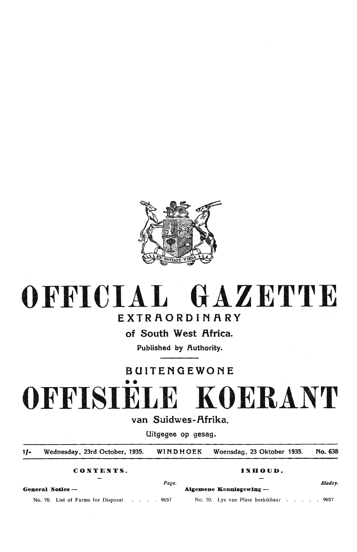

# OFFICIAL **GAZETTE**

## EXTRAORDINARY

of South West Africa.

Published by Authority.

## BUITENGEWONE

•• **OFFISIELE KOERANT** 

## van Suidwes-Afrika.

Uitgegee op gesag.

1/• Wednesday, 23rd October, 1935. WINDHOEK Woensdag, 23 Oktober 1935. No. 638

**CONTENTS. INHOUD.** 

*Page.* Bladsy.

**General Notice** - **A.lgemene Kennisgewing** -

No. 70. List of Farms for Disposal . . . 9657 No. 70. Lys van Plase beskikbaar . . . . . 9657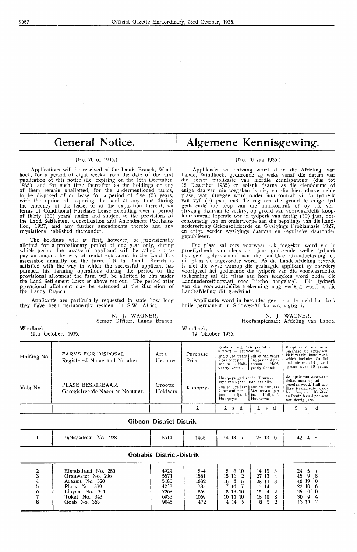## **General** Notice.

#### (No. 70 of 1935.)

Applications will be received at the Lands Branch, Windhoek, for a period of eight weeks from the date of the first publication of this notice (i.e. expiring on the 18th December, 1935 ), and for such time thereafter as the holdings or any of them remain unal10tted, for the undermentioned farms, to be disposed of on lease for a period of five (5) years, with the option of acquiring the land at any time during the currency of the lease, or at the expiration thereof, on terms of Gonditional Purchase Lease extending over a period of thirty (30) years, under and subject to the provisions of the Land Settlement Consolidation and Amendment Proclamation, 1927, and any further amendments thereto and any regulations published thereunder.

The holdings will at first, however, be provisionally allotted for a probationary period of one year only, during which period the successful applicant will be called on to pay an amount by way of rental equivalent *to* the Land Tax assessable annually on the farm. If the Lands Branch -is satisfied with the way in which **the** successful applicant has pursued his farming operations during the period of the rprovisional alliotment the farm will be allotted to him under the Land Settlement Laws as above set out. The period after provisional allotment may be extended at the discretion of the Lands Branch.

Applicants are particularly requested to state how long they have been permanently resident in S.W. Africa.

> N. J. WAGNER, Senior Officer, Lands Branch.

Windhoek, 19th October, 1935.

## **Algemene Kennisgewing.**

### (No. 70 van 1935.)

Applikasies sal ontvang word deur die Afdeling van Lande, Windhoek, gedurende ag weke vanaf die datum van die eerste publikasie van hierdie kennisgewing (dus tot 18 Desember 1935) en solank daarna as die eiendomme of enige daarvan nie toegeken is nie, vir die hierondervermelde plase, wat uitgegee word onder huurkontrak vir 'n tydperk van vyf (5) jaar, met die reg om die grond te enige tyd gedurende die loop van die huurkontrak of by die ver-<br>stryking daarvan te verkry, op grond van voorwaardelik koophuurkontrak lopende oor 'n tydperk van dertig (30) jaar, oor- eenkomstig van en onderworpe aan die bepalings vaa die Landnedersetting Gekonsolideerde en Wysigings Proklamasie 1927,<br>en enige verder wysigings daarvan en regulasies daaronder en enige verder wysigings daarvan en regulasies daaronder gepubliseer.

Die plase sal eers voorwaan ink toegeken word vir 'n proeftydperk van slegs een jaar gedurende welke tydperk huurgeld gelykstaande aan die jaarlikse Orondbelasting op die plaas sal ingevorder word. As die Lande Afdeling tevrede is met die wyse waarop die geslaagde applikant *sy* boerdery voortgeset het gedurende die tydperk van die voorwaardelike toekenning sal die phas aan horn toegeken word onder die Landnedersettingswet soos 'hierbo aangehaal. Die tydperk<br>van die voorwaardelike toekenning mag verleng word as die Landeafdeling dit goedvind.

Applikante word in besonder gevra om te meld hoe lank hulle permanent in Suidwes-Afrika woonagtig is.

> N. J. WAGNER, Hoofamptenaar: Afdeling van Lande.

Windhoek, 19 Oktober 1935.

| Holding No.   | FARMS FOR DISPOSAL.<br>Registered Name and Number.         | Area<br>Hectares         | Purchase<br>Price   | Rental during lease period of<br>5 years. - 1st year nil.<br>2nd & 3rd years   4th & 5th years<br>2 per cent $\bar{r}$ er $3^{1/2}$ per cent per<br>annum. - Half-   annum. - Half-<br>yearly Rental.- yearly Rental:- |                                        | If option of conditional<br>purchase be exercised,<br>Half-vearly Instalment,<br>which includes Capital<br>and Interest at 4 p. cent<br>spread over 30 years.                |
|---------------|------------------------------------------------------------|--------------------------|---------------------|------------------------------------------------------------------------------------------------------------------------------------------------------------------------------------------------------------------------|----------------------------------------|------------------------------------------------------------------------------------------------------------------------------------------------------------------------------|
| Volg No.      | PLASE BESKIKBAAR.<br>Geregistreerde Naam en Nommer.        | Grootte<br>Hektaars      | Koopprys            | Huurprys gedurende Huurter-<br>myn van 5 jaar. 1ste jaar niks.<br>2de en 3de jaar   4de en 5de jaar<br>$31/2$ persent per<br>2 persent per<br>jaar.—Halfjaarl.   jaar.—Halfjaarl,<br>Huurprys:-<br>Huurprys:---        |                                        | As opsie van voorwaar-<br>delike aankoop uit-<br>geoefen word, Halfjaar-<br>likse Paaiemente waar-<br>by inbegrepe. Kapitaal<br>en Rente teen 4 per sent<br>oor dertig jare. |
|               |                                                            |                          | £                   | £<br>d<br>S                                                                                                                                                                                                            | £<br>s d                               | £<br>d<br>s                                                                                                                                                                  |
|               |                                                            | Gibeon District-Distrik  |                     |                                                                                                                                                                                                                        |                                        |                                                                                                                                                                              |
|               | Jackalsdraai No. 228                                       | 8614                     | 1468                | 14 13<br>- 7                                                                                                                                                                                                           | 25 13 10                               | 42<br>-8<br>4 <sup>1</sup>                                                                                                                                                   |
|               |                                                            | Gobabis District-Distrik |                     |                                                                                                                                                                                                                        |                                        |                                                                                                                                                                              |
| $\frac{2}{3}$ | Elandsdraai No. 280<br>Grauwater No. 296<br>Areams No. 320 | 4929<br>5571<br>5185     | 844<br>1581<br>1632 | -8<br>10<br>8<br>15 16 2<br>6<br>5<br>16                                                                                                                                                                               | 14 15<br>5<br>27 13<br>4<br>3<br>28 11 | 24<br>5.<br>45<br>Q.<br>8<br>19<br>46<br>$\Omega$                                                                                                                            |

5 Plaas No. 339 4233 783 7 16 7 13 **14** 1 22 10 6 6 | Libyan No. 341 | 7268 | 869 | 813 10 | 15 4 2 | 25 0 0 7 | Tokat No. 343 | 6933 | 1059 | 10 11 10 | 18 10 8 | 30 9 4 8 Goab No. 363 9045 472 4 14 5 8 5 2 13 11 7 I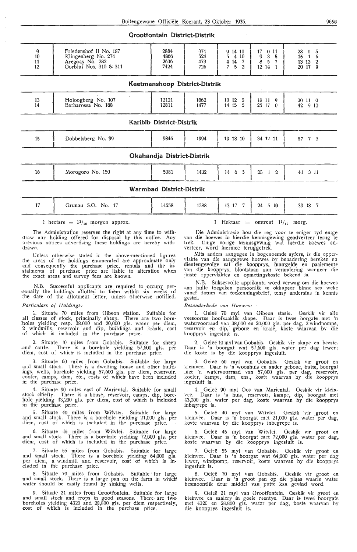### **Grootfontein District-Distrik**

| 9<br>10<br>11<br>12 | Friedenshof II No. 187<br>Klingenberg No. 274<br>Aregoas No. 282<br>Oorbluf Nos. 310 & 311 | 2884<br>4866<br>2636<br>7424  | 974<br>524<br>473<br>726 | 9 14 10<br>4 10<br>5<br>14<br>$\overline{7}$<br>$\overline{4}$<br>5<br>$\mathbf{7}$<br>$\mathbf{2}$ | 17<br>011<br>3<br>5<br>9<br>8<br>$\mathbf 5$<br>$\overline{7}$<br>12 14<br>$\mathbf{1}$ | 28<br>5<br>15<br>6<br>$\mathbf{1}$<br>13 12<br>$\mathbf{2}$<br>20 17<br>9 |
|---------------------|--------------------------------------------------------------------------------------------|-------------------------------|--------------------------|-----------------------------------------------------------------------------------------------------|-----------------------------------------------------------------------------------------|---------------------------------------------------------------------------|
|                     |                                                                                            | Keetmanshoop District-Distrik |                          |                                                                                                     |                                                                                         |                                                                           |
| 13<br>14            | Holoogberg No. 107<br>Barbarossa No. 188                                                   | 12121<br>12811                | 1062<br>1477             | 10 12<br>$\overline{5}$<br>14 15<br>5                                                               | 18 11 9<br>25 17<br>$\theta$                                                            | 30110<br>42 9 10                                                          |
|                     |                                                                                            | Karibib District-Distrik      |                          |                                                                                                     |                                                                                         |                                                                           |
| 15                  | Dobbelsberg No. 99                                                                         | 9846                          | 1994                     | 19 18 10                                                                                            | 34 17 11                                                                                | $7 \quad 3$<br>57                                                         |
|                     |                                                                                            | Okahandja District-Distrik    |                          |                                                                                                     |                                                                                         |                                                                           |
| 16                  | Morogoro No. 150                                                                           | 5081                          | 1432                     | 5<br>6<br>14                                                                                        | 25<br>$\overline{2}$<br>$\mathbf{1}$                                                    | 3 1 1<br>41                                                               |
|                     |                                                                                            | Warmbad District-Distrik      |                          |                                                                                                     |                                                                                         |                                                                           |
| 17                  | Grunau S.O. No. 17                                                                         | 14558                         | 1388                     | 13 17 7                                                                                             | 24<br>$5\,10$                                                                           | 39 18 7                                                                   |

1 hectare  $= 1^{1/10}$  morgen approx.

The Administration reserves the right at any time to with- araw any holding offered for disposal by this notice. Any previous notices advertising these holdings are hereby with• drawn.

Unless otherwise stated in the above-mentioned figures the areas of the holdings enumerated are approximate only and consequently the purchase price, rentals and the instalments of purchase price are liable to alteration when the exact areas and survey fees are known.

N.B. Successful applicants are required to occupy per-<br>sonally the holdings allotted to them within six weeks of the date of the allotment letter, unless otherwise notified.

#### *Particulars of Holdings:-*

1. Situate 70 miles from Oibeon station. Suitable for all classes of stock, principally sheep. There are two bore-<br>:holes yielding resp. 38,000 and 20,000 gls. water per diem, 2 windmills, reservoir and dip, buildings and kraals, cost of which is included in the purchase price.

2. Situate 10 miles from Gobabis. Suitable for sheep and cattle. There is a borehole yielding 57,600 gls. per diem, cost of which is included in the purchase price.

3. Situate 60 miles from Oobabis. Suitable for large and small stock. There is a dwelling house and other buildings, wells, borehole yielding 57,600 gls. per diem, reservoir, cooler, camps, dam, etc., costs of wh'ich have been included in th'e purchase price.

4. Situate 90 miles east of Mariental. Suitable for small stock chiefly. There is a house, reservoir, camps, dip, boreh'ole yielding 43,200 gls. per diem, cost of which is included in the purchase price.

5. Situate 40 miles . from Witvlei. Suitable for large and small stock. There is a borehole yielding 21,000 gls. per diem, cost of which is included in the purchase price.

6. Situate 45 miles from Witvlei. Suitable for large .and small stock. There is a borehole yielding 72,000 gls. per diem, cost of which is included in the purchase price.

7. Situate 55 miles from Gobabis. Suitable for large and small stock. There is a borehole yielding 64,000 gls. per diem, a windmill and reservoir, cost of which is inand the diem, a windmill and responsive the purchase price.

8. Situate 70 miles from Gobabis. Suitable · for large and small stock. There is a large pan on the farm in which water should be easily found by sinking wells.

9. Situate 21 miles from Grootfontein. Suitable for large and small stock and crops in good seasons. There are two boreholes yielding  $4320$  and  $28,800$  gls. per diem respectively, cost of which is included in the purchase price.

1 Hektaar = omtrent  $1^{1/10}$  morg.

Die Administrasie hou die reg voor te eniger tyd enige van die hoewes in hierdie kennisgewing geadverteer terug te trek. Enige vorige kennisgewing wat hierdie hoewes adverteer, word hiermee teruggetrek.

Mits anders aangegee in bogenoemde syfers, is die oppervlakte van die aangegewe hoewes by benadering bereken en<br>dientengevolge sal die koopprys, huurgelde en paaiemente<br>van die koopprys, blootstaan aan verandering wanneer die juiste oppervlaktes en opmetingskoste bekend is.

N.B. Suksesvolle applikantt word verwag om die hoewes aan hulle toegeken persoonlik te okkupee r binne ses weke vanaf datum van toekenningsbrief, tensy andersins in kennis gestel.

#### *Besonderhede van Hoewes:-*

1. Geleë 70 myl van Gibeon stasie. Geskik vir alle veesoortes hoofsaaklik skape. Daar is twee borgate met 'n watervoorraad van 38,000 en 20,000 gls. per dag, 2 windpompe, reservoir en dip, geboue en krale, koste waarvan by die koopprys ingesluit is.

2. Gelee 10 myl van Gobabis. Geskik vir skape en beest::. Daar is 'n boorgat wat 57,600 gls. water per <lag lewer; die koste is by die koopprys ingesluit.

3. Gelee 60 my! van Gobabis. Geskik vir groot en kleinvee . Daar is 'n woonhuis en antler geboue, butte, boorgat met 'n watervoorraad van 57,600 gls. per dag, reservoir, koeler, kampe, dam, ens., koste waarvan by die koopprys ingesluit is.

4. Geleë 90 myl Oos van Mariental. Geskik vir klein-<br>vee. Daar is 'n huis, reservoir, kampe, dip, boorgat met 43,200 gls. water per dag, koste waarvan by die koopprys inbegrepe is.

5. Oeleë 40 myl van Witvlei. Oeskik vir groot en kleinvee. Daar is 'n boorgat met 21,000 gls. water per dag, koste waarvan by die koopprys inbegrepe is.

6. Geleë 45 myl van Witvlei. Geskik vir groot en kleinvee. Daar is 'n boorgat met 72,000 gls. water per dag, koste waarvan by die koopprys ingesluit is.

7. Geleë 55 myl van Gobabis. Geskik vir groot en kleinvee. Daar is 'n boorgat wat 64,000 gls. water per dag !ewer, windpomp, reservoir, koste waarvan by die koopprys ingesluit is.

8. Geleë 70 myl van Gobabis. Geskik vir groot en kleinvee. Daar is 'n groot pan op die plaas waarin water besmoontlik deur middel van putte kan gevind word.

9. Geleë 21 myl van Grootfontein. Geskik vir groot en<br>kleinvee en saaiery in goeie reentye. Daar is twee boorgate met 4320 en 28,800 gls. water per dag, koste waarvan by die koopprys ingesluit is.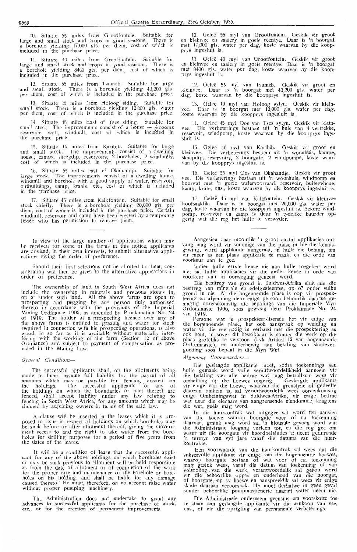10. Situate 55 miles from Grootfontein. Suitable for large and small stock and crops in good seasons. There is<br>a borehole yielding 17,000 gls. per diem, cost of which is included in the purchase price.

11. Situate 40 miles from Grootfontein. Suitable for large and small stock and crops in good seasons. There is a borehole yielding 8400 gls. per diem, cost of which is included in the purchase price.

12. Situate 55 miles from Tsumeb. Suitable for large and small stock. There is a borehole yielding 43,200 gls. per diem, cost of which is included in the purchase price.

13. Situate 10 miles from Holoog siding. Suitable for small stock. There is a borehole yielding 12,000 gls. water<br>per diem, cost of which is included in the purchase price.

14. Situate 45 miles East of Tses siding. Suitable for small stock. The improvements consist of a house  $-$  4 rooms: reservoir, well, windmill, cost of which is included in the purchase price.

15. Situate 16 miles from Karibib. Suitable for large and small stock. The improvements consist of a dwelling house, camps, sheepdip, reservoirs, 2 boreholes, 2 windmills, cost of which is included in the purchase price.

16. Situate 55 miles east of Okahandja. Suitable for large stock. The improvements consist of a dwelling house, windmill and borehole with a good supply of water, reservoir, outbuildings, camp, kraals, etc., cost of which is included in the purchase price.

17. Situate 45 miles from Kalk fontein. Suitable for small stock chiefly. There is a borehole yielding 20,000 gls. per diem, cost of which is included in the purchase price. Certain windmill, reservoir and camp have been erected by a temporary lessee who has permission to remove them.

In view of the large number of applications which may lie received for some of the farm:; in this notice, applicants are advised, in their own interests, to submit alternative applications giving the order of preference.

Should their first selections not be allotted to them, consideration will then be given to the alternative applications in order of preference.

The ownership of land in South West Africa does not include the ownership in minerals and precious stones in, on or under such land. All the above farms are open to prospecting and pegging by any person duly authorised thereto in accordance with the provisions of the Imperial Mining Ordinance 1906, as amended by Proclamation No. 24 of 1919. The holder of a prospecting licence over any of the above farms is entitied to grazing and water for stock required in connection with his prospecting operations, as also wood, in so far as it is available without materially interfering with the working of the farm (Section 12 of above Ordinance) and subject to payment of compensation as provided in the Mining Law.

#### *General Conditiorzs-*

The successful applicants shall, on the allotments being made to them, assume full liability for the payent of all amounts which may be payable for fencing erected on the\_ holdings. The successful applicants for any of the holdings on which the boundaries or part thereof are fenced, shall accept liability under any law relating to fencing in South West Africa, for any amounts which may be claimed by adjoining owners in terms of the said law.

A clause will be inserted in the leases which it is propo;ed to issue in respect of holdings on which boreholes may be sunk before or after allotment thereof, giving the Government access to and the right to take water from the boreholes for drilling purposes for a period of five years from the dates of the leases.

It will be a condition of lease that the successful appli-<br>cant for any of the above holdings on which boreholes exist or may be sunk previous to allotment will be held responsible as from the date of allotment or of completion of the work for the proper care and maintenance of the borehole or boreholes on his holding, and shall be liable for any damage caused thereto. He must, therefore, on no account raise water without proper pumping machinery.

The Administration does not undertake to grant any advances to successful applicants **for** the purchase of stock, de., or for the erection of permanent improvements.

10. Geleë 55 myl van Grootfontein. Geskik vir groot en kleinvee en saaiery in goeie reentye. Daar is 'n boorgat met 17,000 gls. water per dag, koste waarvan by die koopprys ingesluit is.

11. Geleë 40 myl van Grootfontein. Geskik vir groot en kleinvee en saaiery in goeie reentye. Daar is 'n boorgat met 8400 gls. water per dag, koste waarvan by die koop, prys ingesluit is.

12. Gelee 55 myl van Tsumeb. Oeskik vir groot en kleinvee . Daar is 'n boorgat met 43,200 gls. water per dag, koste waarvan by die koopprys ingesluit is.

13. Geleë 10 myl van Holoog sylyn. Geskik vir kleinvee. Daar is 'n boorgat met 12,000 gls. water per dag, koste waarvan by die koopprys ingesluit is.

14. Geleë 45 myl Oos van Tses sylyn. Geskik vir klein-<br>vee. Die verbeterings bestaan uit 'n huis van 4 vertrekke, reservoir, windpomp, koste waarvan by die koopprys ingesluit is.

15. Gelee 16 my! van Karibib. Geskik vir groot en kleinvee. Die verbeterings bestaan uit 'n woonhuis, kampe, skaapdip, reservoirs, 2 boorgate, 2 windpompe, koste waarvan by die koopprys ingesluit is.

16. Gelee 55 my! Oos van Okahandja. Geskik vir groot vee. Die verbeterings bestaan uit 'n woonh'uis, windpomp· en boorgat met 'n goeie watervoorraad, reservoir, buitegeboue, boorgat met 'n goeie watervoorraad, reservon, outtgeboue,<br>kamp, krale, ens., koste waarvan by die koopprys ingesluit is.

17. Geleë 45 myl van Kalkfontein. Geskik vir kleinvee<br>hoofsaaklik. Daar is 'n boorgat met 20,000 gls. water per dag, koste waarvan by die koopprys ingesluit is. Sekere windpomp, reservoir en kamp is deur 'n tydelike huurder opgerig wat die reg het hulle te verwyder.

Aangesien daar moontlik 'n groot aantal applikasies ontvang mag word vir sommige van die plase in hierdie kennisgewing, word applikante aangeraai, in hulle eie belang, om vir meer as een plaas applikasie te maak, en die orde van<br>voorkeur aan te gee.

Indien hulle eerste keuse nie aan hulle toegeken word nie, sal hulle applikasies vir die ander keuse in orde van voorkeur dan in oorweging geneem word.

Die besitreg van grond in Suidwes-Afrika sluit ,nie die besitreg van minerale en edelgesteentes, op or onder sulke grond in nie. Al die bogenoemde plase is oop vir prospektering en afpenning deur enige persoon behoorlik claartoe gemagtig ooreenkomstig die bepalings van die Imperiale Myn Ordonnansie 1906, soos gewysig deur Proklamasie No. 24-

van 1919.<br>Persone wat 'n prospekteer-lisensie het vir enige van die bogenoemde plase, het ook aanspraak op weiding en water vir die vee nodig in verband met die prospektering as ook hout, in sover dit beskikbaar is sender die werk op die plaas groteliks te verstoor, (kyk Artikel 12 van bogenoemde Ordonnansie ), en onderhewig aan betaling van skadever goeding soos bepaal in die Myn Wet.

*Algemene Voorwaardes :-*

Die geslaagde applikante moet, sodra toekennings aan hulle gemaak word volle verantwoordelikheid aanneem vir die betaling van alle bedrae wat mag betaalbaar wees vir omheining op die hoewes opgerig. Geslaagde applikante vir enige van die hoewe, waarvan die grenslyne of gedeelte daarvan omhein is, sal verantwoordelik wees ooreenkomstig enige Omheiningswet in Suidwes-Afrika, vir enige bedrae wat deur die eienaars van aangrensende eiendomme, kragtens die wet, geëis mag word.

In die huurkontrak wat uitgegee sal word ten aansier van die hoewe waarop boorgate voor of na toekenning daarvan, gesink mag word sal 'n klousule gevoeg word wat die Administrasie toegang verleen tot, en die reg gee om water uit die boorgate vir boordoeleindes te neem gedurende 'n termyn van vyf jare vanaf die datums van die huurkontrakte.<br>Een voorwaarde van die huurkontrak sal wees dat die

Een voorwaarde van die huurkontrak sal wees dat die suksesvolle applikant vir enige van die bogenoemde hoewes, waarop boorgate bestaan of wat voor of na toekenning mag gesink wees, vanaf die datum van toekenning of van voltooiing van die werk, verantwoordelik sal gehou word vir die behoorlike oppas en onderhoud van die boorgat, of boorgate, op sy hoewe en aanspreeklik sal wees vir enige skade daaraan veroorsaak. Hy moet derhalwe in geen geval sonder behoorlike pompmasjienerie daaruit water neem nie.

Die Administrasie onderneem geensins om voorskotte toe te staan aan geslaagde applikante vir die aankoop van vee, ens., of vir die oprigting van permanente verbeterings.